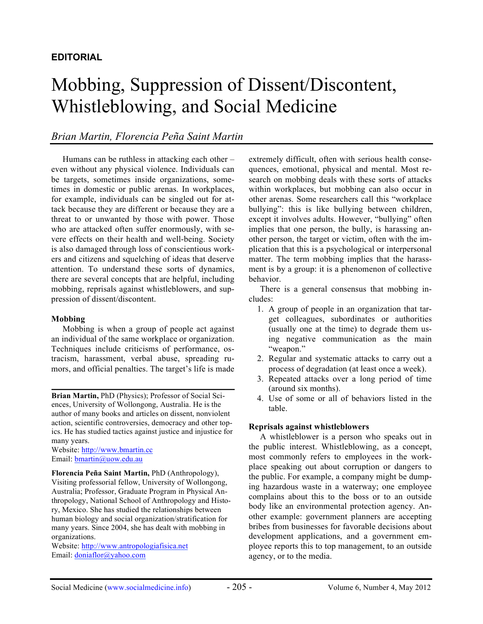# **EDITORIAL**

# Mobbing, Suppression of Dissent/Discontent, Whistleblowing, and Social Medicine

# *Brian Martin, Florencia Peña Saint Martin*

Humans can be ruthless in attacking each other – even without any physical violence. Individuals can be targets, sometimes inside organizations, sometimes in domestic or public arenas. In workplaces, for example, individuals can be singled out for attack because they are different or because they are a threat to or unwanted by those with power. Those who are attacked often suffer enormously, with severe effects on their health and well-being. Society is also damaged through loss of conscientious workers and citizens and squelching of ideas that deserve attention. To understand these sorts of dynamics, there are several concepts that are helpful, including mobbing, reprisals against whistleblowers, and suppression of dissent/discontent.

#### **Mobbing**

Mobbing is when a group of people act against an individual of the same workplace or organization. Techniques include criticisms of performance, ostracism, harassment, verbal abuse, spreading rumors, and official penalties. The target's life is made

**Brian Martin,** PhD (Physics); Professor of Social Sciences, University of Wollongong, Australia. He is the author of many books and articles on dissent, nonviolent action, scientific controversies, democracy and other topics. He has studied tactics against justice and injustice for many years.

Website: http://www.bmartin.cc Email: bmartin@uow.edu.au

**Florencia Peña Saint Martin,** PhD (Anthropology), Visiting professorial fellow, University of Wollongong, Australia; Professor, Graduate Program in Physical Anthropology, National School of Anthropology and History, Mexico. She has studied the relationships between human biology and social organization/stratification for many years. Since 2004, she has dealt with mobbing in organizations.

Website: http://www.antropologiafisica.net Email: doniaflor@yahoo.com

extremely difficult, often with serious health consequences, emotional, physical and mental. Most research on mobbing deals with these sorts of attacks within workplaces, but mobbing can also occur in other arenas. Some researchers call this "workplace bullying": this is like bullying between children, except it involves adults. However, "bullying" often implies that one person, the bully, is harassing another person, the target or victim, often with the implication that this is a psychological or interpersonal matter. The term mobbing implies that the harassment is by a group: it is a phenomenon of collective behavior.

There is a general consensus that mobbing includes:

- 1. A group of people in an organization that target colleagues, subordinates or authorities (usually one at the time) to degrade them using negative communication as the main "weapon."
- 2. Regular and systematic attacks to carry out a process of degradation (at least once a week).
- 3. Repeated attacks over a long period of time (around six months).
- 4. Use of some or all of behaviors listed in the table.

#### **Reprisals against whistleblowers**

A whistleblower is a person who speaks out in the public interest. Whistleblowing, as a concept, most commonly refers to employees in the workplace speaking out about corruption or dangers to the public. For example, a company might be dumping hazardous waste in a waterway; one employee complains about this to the boss or to an outside body like an environmental protection agency. Another example: government planners are accepting bribes from businesses for favorable decisions about development applications, and a government employee reports this to top management, to an outside agency, or to the media.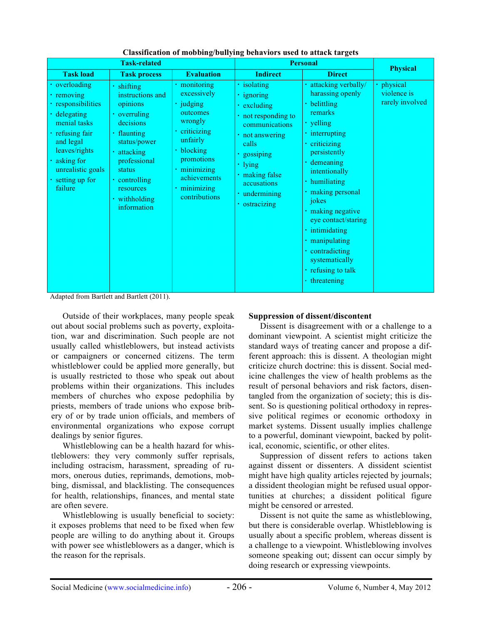| <b>Task-related</b>                                                                                                                                                                          |                                                                                                                                                                                                               |                                                                                                                                                                                           | <b>Personal</b>                                                                                                                                                                                                  |                                                                                                                                                                                                                                                                                                                                                                                 | <b>Physical</b>                            |
|----------------------------------------------------------------------------------------------------------------------------------------------------------------------------------------------|---------------------------------------------------------------------------------------------------------------------------------------------------------------------------------------------------------------|-------------------------------------------------------------------------------------------------------------------------------------------------------------------------------------------|------------------------------------------------------------------------------------------------------------------------------------------------------------------------------------------------------------------|---------------------------------------------------------------------------------------------------------------------------------------------------------------------------------------------------------------------------------------------------------------------------------------------------------------------------------------------------------------------------------|--------------------------------------------|
| <b>Task load</b>                                                                                                                                                                             | <b>Task process</b>                                                                                                                                                                                           | <b>Evaluation</b>                                                                                                                                                                         | <b>Indirect</b>                                                                                                                                                                                                  | <b>Direct</b>                                                                                                                                                                                                                                                                                                                                                                   |                                            |
| • overloading<br>removing<br>responsibilities<br>delegating<br>menial tasks<br>refusing fair<br>and legal<br>leaves/rights<br>· asking for<br>unrealistic goals<br>setting up for<br>failure | · shifting<br>instructions and<br>opinions<br>• overruling<br>decisions<br>• flaunting<br>status/power<br>· attacking<br>professional<br>status<br>• controlling<br>resources<br>• withholding<br>information | · monitoring<br>excessively<br>· judging<br>outcomes<br>wrongly<br>• criticizing<br>unfairly<br>• blocking<br>promotions<br>· minimizing<br>achievements<br>· minimizing<br>contributions | · isolating<br>· ignoring<br>• excluding<br>• not responding to<br>communications<br>• not answering<br>calls<br>· gossiping<br>$\cdot$ lying<br>· making false<br>accusations<br>· undermining<br>• ostracizing | · attacking verbally/<br>harassing openly<br>• belittling<br>remarks<br>· yelling<br>· interrupting<br>· criticizing<br>persistently<br>· demeaning<br>intentionally<br>· humiliating<br>· making personal<br>jokes<br>· making negative<br>eye contact/staring<br>· intimidating<br>· manipulating<br>• contradicting<br>systematically<br>· refusing to talk<br>• threatening | physical<br>violence is<br>rarely involved |

**Classification of mobbing/bullying behaviors used to attack targets**

Adapted from Bartlett and Bartlett (2011).

Outside of their workplaces, many people speak out about social problems such as poverty, exploitation, war and discrimination. Such people are not usually called whistleblowers, but instead activists or campaigners or concerned citizens. The term whistleblower could be applied more generally, but is usually restricted to those who speak out about problems within their organizations. This includes members of churches who expose pedophilia by priests, members of trade unions who expose bribery of or by trade union officials, and members of environmental organizations who expose corrupt dealings by senior figures.

Whistleblowing can be a health hazard for whistleblowers: they very commonly suffer reprisals, including ostracism, harassment, spreading of rumors, onerous duties, reprimands, demotions, mobbing, dismissal, and blacklisting. The consequences for health, relationships, finances, and mental state are often severe.

Whistleblowing is usually beneficial to society: it exposes problems that need to be fixed when few people are willing to do anything about it. Groups with power see whistleblowers as a danger, which is the reason for the reprisals.

## **Suppression of dissent/discontent**

Dissent is disagreement with or a challenge to a dominant viewpoint. A scientist might criticize the standard ways of treating cancer and propose a different approach: this is dissent. A theologian might criticize church doctrine: this is dissent. Social medicine challenges the view of health problems as the result of personal behaviors and risk factors, disentangled from the organization of society; this is dissent. So is questioning political orthodoxy in repressive political regimes or economic orthodoxy in market systems. Dissent usually implies challenge to a powerful, dominant viewpoint, backed by political, economic, scientific, or other elites.

Suppression of dissent refers to actions taken against dissent or dissenters. A dissident scientist might have high quality articles rejected by journals; a dissident theologian might be refused usual opportunities at churches; a dissident political figure might be censored or arrested.

Dissent is not quite the same as whistleblowing, but there is considerable overlap. Whistleblowing is usually about a specific problem, whereas dissent is a challenge to a viewpoint. Whistleblowing involves someone speaking out; dissent can occur simply by doing research or expressing viewpoints.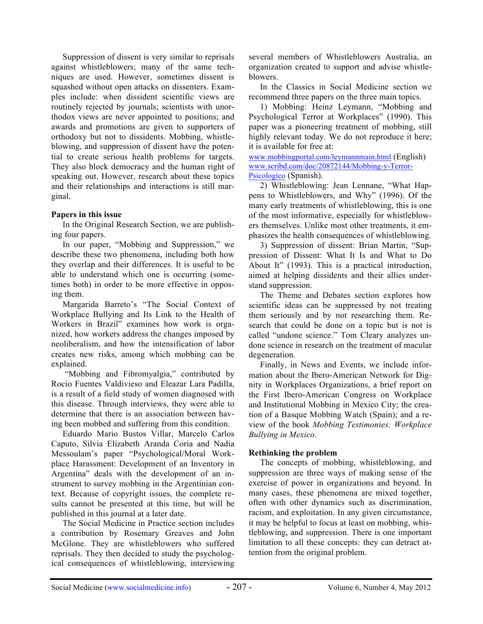Suppression of dissent is very similar to reprisals against whistleblowers; many of the same techniques are used. However, sometimes dissent is squashed without open attacks on dissenters. Examples include: when dissident scientific views are routinely rejected by journals; scientists with unorthodox views are never appointed to positions; and awards and promotions are given to supporters of orthodoxy but not to dissidents. Mobbing, whistleblowing, and suppression of dissent have the potential to create serious health problems for targets. They also block democracy and the human right of speaking out. However, research about these topics and their relationships and interactions is still marginal.

## **Papers in this issue**

In the Original Research Section, we are publishing four papers.

In our paper, "Mobbing and Suppression," we describe these two phenomena, including both how they overlap and their differences. It is useful to be able to understand which one is occurring (sometimes both) in order to be more effective in opposing them.

Margarida Barreto's "The Social Context of Workplace Bullying and Its Link to the Health of Workers in Brazil" examines how work is organized, how workers address the changes imposed by neoliberalism, and how the intensification of labor creates new risks, among which mobbing can be explained.

"Mobbing and Fibromyalgia," contributed by Rocio Fuentes Valdivieso and Eleazar Lara Padilla, is a result of a field study of women diagnosed with this disease. Through interviews, they were able to determine that there is an association between having been mobbed and suffering from this condition.

Eduardo Mario Bustos Villar, Marcelo Carlos Caputo, Silvia Elizabeth Aranda Coria and Nadia Messoulam's paper "Psychological/Moral Workplace Harassment: Development of an Inventory in Argentina" deals with the development of an instrument to survey mobbing in the Argentinian context. Because of copyright issues, the complete results cannot be presented at this time, but will be published in this journal at a later date.

The Social Medicine in Practice section includes a contribution by Rosemary Greaves and John McGlone. They are whistleblowers who suffered reprisals. They then decided to study the psychological consequences of whistleblowing, interviewing several members of Whistleblowers Australia, an organization created to support and advise whistleblowers.

In the Classics in Social Medicine section we recommend three papers on the three main topics.

1) Mobbing: Heinz Leymann, "Mobbing and Psychological Terror at Workplaces" (1990). This paper was a pioneering treatment of mobbing, still highly relevant today. We do not reproduce it here; it is available for free at:

www.mobbingportal.com/leymannmain.html (English) www.scribd.com/doc/20872144/Mobbing-y-Terror-Psicologico (Spanish).

2) Whistleblowing: Jean Lennane, "What Happens to Whistleblowers, and Why" (1996). Of the many early treatments of whistleblowing, this is one of the most informative, especially for whistleblowers themselves. Unlike most other treatments, it emphasizes the health consequences of whistleblowing.

3) Suppression of dissent: Brian Martin, "Suppression of Dissent: What It Is and What to Do About It" (1993). This is a practical introduction, aimed at helping dissidents and their allies understand suppression.

The Theme and Debates section explores how scientific ideas can be suppressed by not treating them seriously and by not researching them. Research that could be done on a topic but is not is called "undone science." Tom Cleary analyzes undone science in research on the treatment of macular degeneration.

Finally, in News and Events, we include information about the Ibero-American Network for Dignity in Workplaces Organizations, a brief report on the First Ibero-American Congress on Workplace and Institutional Mobbing in Mexico City; the creation of a Basque Mobbing Watch (Spain); and a review of the book *Mobbing Testimonies: Workplace Bullying in Mexico*.

# **Rethinking the problem**

The concepts of mobbing, whistleblowing, and suppression are three ways of making sense of the exercise of power in organizations and beyond. In many cases, these phenomena are mixed together, often with other dynamics such as discrimination, racism, and exploitation. In any given circumstance, it may be helpful to focus at least on mobbing, whistleblowing, and suppression. There is one important limitation to all these concepts: they can detract attention from the original problem.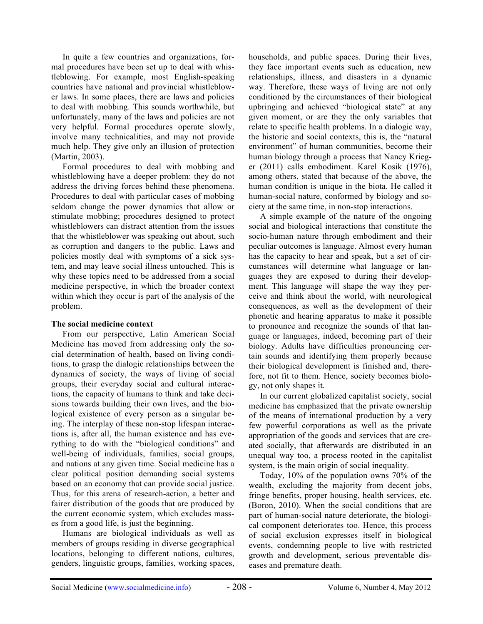In quite a few countries and organizations, formal procedures have been set up to deal with whistleblowing. For example, most English-speaking countries have national and provincial whistleblower laws. In some places, there are laws and policies to deal with mobbing. This sounds worthwhile, but unfortunately, many of the laws and policies are not very helpful. Formal procedures operate slowly, involve many technicalities, and may not provide much help. They give only an illusion of protection (Martin, 2003).

Formal procedures to deal with mobbing and whistleblowing have a deeper problem: they do not address the driving forces behind these phenomena. Procedures to deal with particular cases of mobbing seldom change the power dynamics that allow or stimulate mobbing; procedures designed to protect whistleblowers can distract attention from the issues that the whistleblower was speaking out about, such as corruption and dangers to the public. Laws and policies mostly deal with symptoms of a sick system, and may leave social illness untouched. This is why these topics need to be addressed from a social medicine perspective, in which the broader context within which they occur is part of the analysis of the problem.

## **The social medicine context**

From our perspective, Latin American Social Medicine has moved from addressing only the social determination of health, based on living conditions, to grasp the dialogic relationships between the dynamics of society, the ways of living of social groups, their everyday social and cultural interactions, the capacity of humans to think and take decisions towards building their own lives, and the biological existence of every person as a singular being. The interplay of these non-stop lifespan interactions is, after all, the human existence and has everything to do with the "biological conditions" and well-being of individuals, families, social groups, and nations at any given time. Social medicine has a clear political position demanding social systems based on an economy that can provide social justice. Thus, for this arena of research-action, a better and fairer distribution of the goods that are produced by the current economic system, which excludes masses from a good life, is just the beginning.

Humans are biological individuals as well as members of groups residing in diverse geographical locations, belonging to different nations, cultures, genders, linguistic groups, families, working spaces, households, and public spaces. During their lives, they face important events such as education, new relationships, illness, and disasters in a dynamic way. Therefore, these ways of living are not only conditioned by the circumstances of their biological upbringing and achieved "biological state" at any given moment, or are they the only variables that relate to specific health problems. In a dialogic way, the historic and social contexts, this is, the "natural environment" of human communities, become their human biology through a process that Nancy Krieger (2011) calls embodiment. Karel Kosik (1976), among others, stated that because of the above, the human condition is unique in the biota. He called it human-social nature, conformed by biology and society at the same time, in non-stop interactions.

A simple example of the nature of the ongoing social and biological interactions that constitute the socio-human nature through embodiment and their peculiar outcomes is language. Almost every human has the capacity to hear and speak, but a set of circumstances will determine what language or languages they are exposed to during their development. This language will shape the way they perceive and think about the world, with neurological consequences, as well as the development of their phonetic and hearing apparatus to make it possible to pronounce and recognize the sounds of that language or languages, indeed, becoming part of their biology. Adults have difficulties pronouncing certain sounds and identifying them properly because their biological development is finished and, therefore, not fit to them. Hence, society becomes biology, not only shapes it.

In our current globalized capitalist society, social medicine has emphasized that the private ownership of the means of international production by a very few powerful corporations as well as the private appropriation of the goods and services that are created socially, that afterwards are distributed in an unequal way too, a process rooted in the capitalist system, is the main origin of social inequality.

Today, 10% of the population owns 70% of the wealth, excluding the majority from decent jobs, fringe benefits, proper housing, health services, etc. (Boron, 2010). When the social conditions that are part of human-social nature deteriorate, the biological component deteriorates too. Hence, this process of social exclusion expresses itself in biological events, condemning people to live with restricted growth and development, serious preventable diseases and premature death.